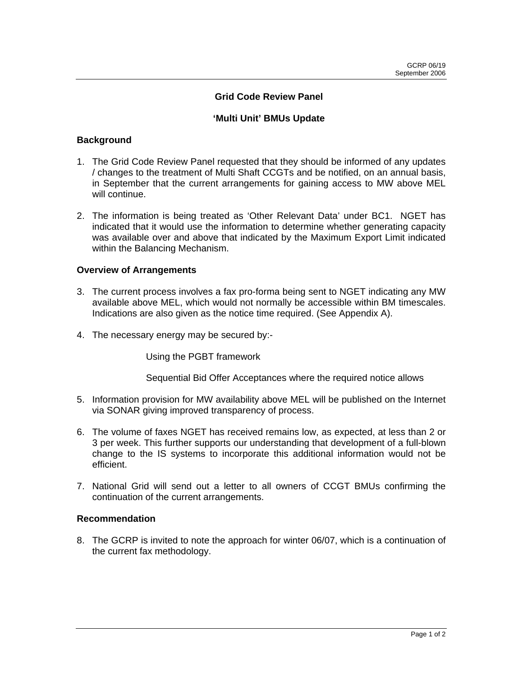### **Grid Code Review Panel**

### **'Multi Unit' BMUs Update**

#### **Background**

- 1. The Grid Code Review Panel requested that they should be informed of any updates / changes to the treatment of Multi Shaft CCGTs and be notified, on an annual basis, in September that the current arrangements for gaining access to MW above MEL will continue.
- 2. The information is being treated as 'Other Relevant Data' under BC1. NGET has indicated that it would use the information to determine whether generating capacity was available over and above that indicated by the Maximum Export Limit indicated within the Balancing Mechanism.

#### **Overview of Arrangements**

- 3. The current process involves a fax pro-forma being sent to NGET indicating any MW available above MEL, which would not normally be accessible within BM timescales. Indications are also given as the notice time required. (See Appendix A).
- 4. The necessary energy may be secured by:-

Using the PGBT framework

Sequential Bid Offer Acceptances where the required notice allows

- 5. Information provision for MW availability above MEL will be published on the Internet via SONAR giving improved transparency of process.
- 6. The volume of faxes NGET has received remains low, as expected, at less than 2 or 3 per week. This further supports our understanding that development of a full-blown change to the IS systems to incorporate this additional information would not be efficient.
- 7. National Grid will send out a letter to all owners of CCGT BMUs confirming the continuation of the current arrangements.

#### **Recommendation**

8. The GCRP is invited to note the approach for winter 06/07, which is a continuation of the current fax methodology.